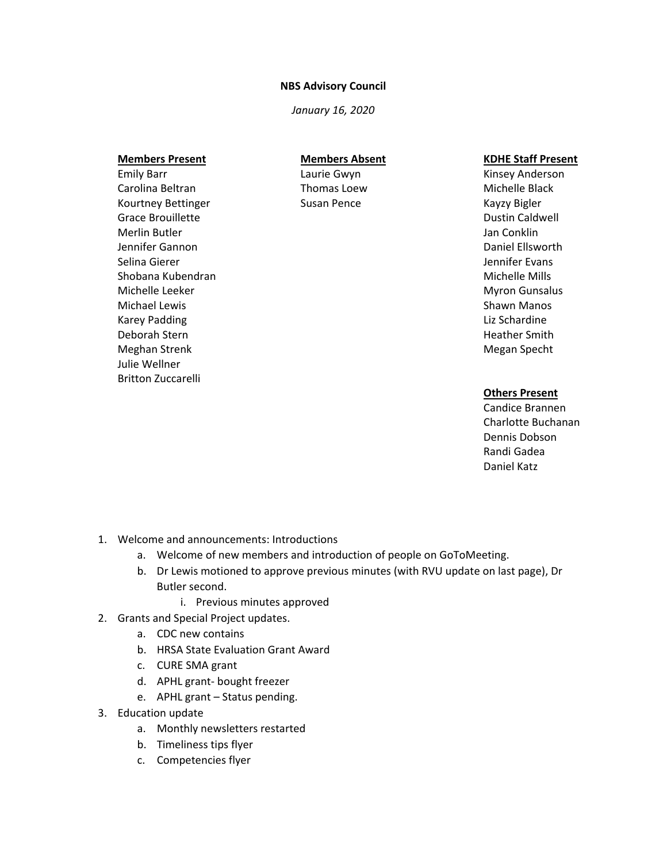## **NBS Advisory Council**

*January 16, 2020*

## **Members Present**

Shobana Kubendran Michelle Leeker Michael Lewis Karey Padding Deborah Stern Meghan Strenk Julie Wellner Britton Zuccarelli

Emily Barr Carolina Beltran Kourtney Bettinger Grace Brouillette Merlin Butler Jennifer Gannon Selina Gierer

# **Members Absent**

Laurie Gwyn Thomas Loew Susan Pence

#### **KDHE Staff Present**

Kinsey Anderson Michelle Black Kayzy Bigler Dustin Caldwell Jan Conklin Daniel Ellsworth Jennifer Evans Michelle Mills Myron Gunsalus Shawn Manos Liz Schardine Heather Smith Megan Specht

# **Others Present**

Candice Brannen Charlotte Buchanan Dennis Dobson Randi Gadea Daniel Katz

- 1. Welcome and announcements: Introductions
	- a. Welcome of new members and introduction of people on GoToMeeting.
	- b. Dr Lewis motioned to approve previous minutes (with RVU update on last page), Dr Butler second.
		- i. Previous minutes approved
- 2. Grants and Special Project updates.
	- a. CDC new contains
	- b. HRSA State Evaluation Grant Award
	- c. CURE SMA grant
	- d. APHL grant- bought freezer
	- e. APHL grant Status pending.
- 3. Education update
	- a. Monthly newsletters restarted
	- b. Timeliness tips flyer
	- c. Competencies flyer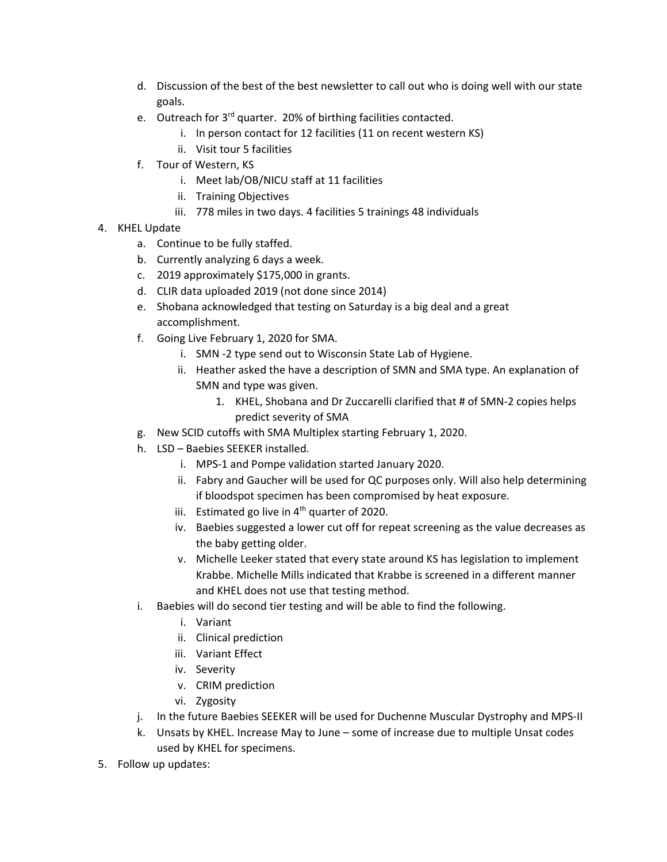- d. Discussion of the best of the best newsletter to call out who is doing well with our state goals.
- e. Outreach for 3<sup>rd</sup> quarter. 20% of birthing facilities contacted.
	- i. In person contact for 12 facilities (11 on recent western KS)
	- ii. Visit tour 5 facilities
- f. Tour of Western, KS
	- i. Meet lab/OB/NICU staff at 11 facilities
	- ii. Training Objectives
	- iii. 778 miles in two days. 4 facilities 5 trainings 48 individuals
- 4. KHEL Update
	- a. Continue to be fully staffed.
	- b. Currently analyzing 6 days a week.
	- c. 2019 approximately \$175,000 in grants.
	- d. CLIR data uploaded 2019 (not done since 2014)
	- e. Shobana acknowledged that testing on Saturday is a big deal and a great accomplishment.
	- f. Going Live February 1, 2020 for SMA.
		- i. SMN -2 type send out to Wisconsin State Lab of Hygiene.
		- ii. Heather asked the have a description of SMN and SMA type. An explanation of SMN and type was given.
			- 1. KHEL, Shobana and Dr Zuccarelli clarified that # of SMN-2 copies helps predict severity of SMA
	- g. New SCID cutoffs with SMA Multiplex starting February 1, 2020.
	- h. LSD Baebies SEEKER installed.
		- i. MPS-1 and Pompe validation started January 2020.
		- ii. Fabry and Gaucher will be used for QC purposes only. Will also help determining if bloodspot specimen has been compromised by heat exposure.
		- iii. Estimated go live in  $4<sup>th</sup>$  quarter of 2020.
		- iv. Baebies suggested a lower cut off for repeat screening as the value decreases as the baby getting older.
		- v. Michelle Leeker stated that every state around KS has legislation to implement Krabbe. Michelle Mills indicated that Krabbe is screened in a different manner and KHEL does not use that testing method.
	- i. Baebies will do second tier testing and will be able to find the following.
		- i. Variant
		- ii. Clinical prediction
		- iii. Variant Effect
		- iv. Severity
		- v. CRIM prediction
		- vi. Zygosity
	- j. In the future Baebies SEEKER will be used for Duchenne Muscular Dystrophy and MPS-II
	- k. Unsats by KHEL. Increase May to June some of increase due to multiple Unsat codes used by KHEL for specimens.
- 5. Follow up updates: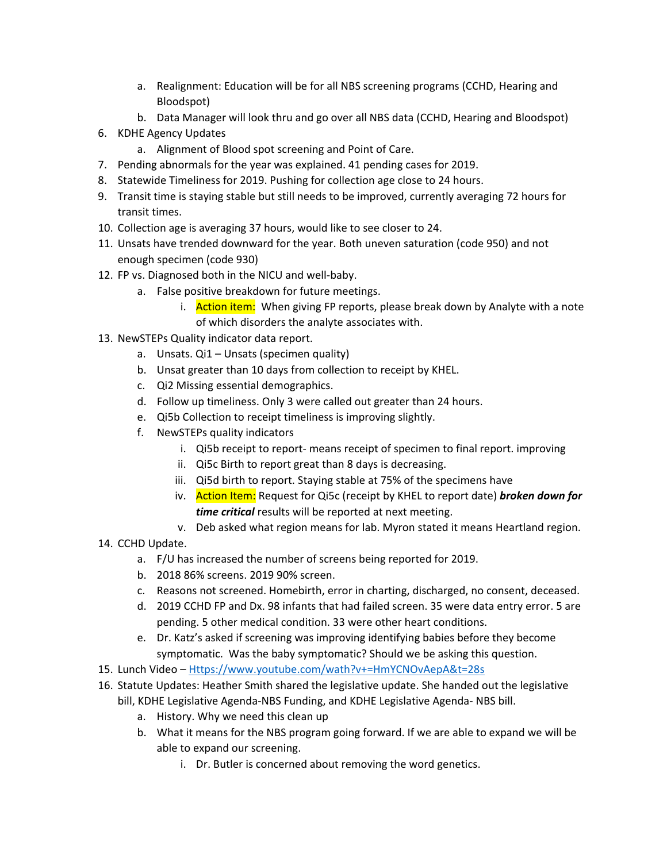- a. Realignment: Education will be for all NBS screening programs (CCHD, Hearing and Bloodspot)
- b. Data Manager will look thru and go over all NBS data (CCHD, Hearing and Bloodspot)
- 6. KDHE Agency Updates
	- a. Alignment of Blood spot screening and Point of Care.
- 7. Pending abnormals for the year was explained. 41 pending cases for 2019.
- 8. Statewide Timeliness for 2019. Pushing for collection age close to 24 hours.
- 9. Transit time is staying stable but still needs to be improved, currently averaging 72 hours for transit times.
- 10. Collection age is averaging 37 hours, would like to see closer to 24.
- 11. Unsats have trended downward for the year. Both uneven saturation (code 950) and not enough specimen (code 930)
- 12. FP vs. Diagnosed both in the NICU and well-baby.
	- a. False positive breakdown for future meetings.
		- i. **Action item:** When giving FP reports, please break down by Analyte with a note of which disorders the analyte associates with.
- 13. NewSTEPs Quality indicator data report.
	- a. Unsats. Qi1 Unsats (specimen quality)
	- b. Unsat greater than 10 days from collection to receipt by KHEL.
	- c. Qi2 Missing essential demographics.
	- d. Follow up timeliness. Only 3 were called out greater than 24 hours.
	- e. Qi5b Collection to receipt timeliness is improving slightly.
	- f. NewSTEPs quality indicators
		- i. Qi5b receipt to report- means receipt of specimen to final report. improving
		- ii. Qi5c Birth to report great than 8 days is decreasing.
		- iii. Qi5d birth to report. Staying stable at 75% of the specimens have
		- iv. Action Item: Request for Qi5c (receipt by KHEL to report date) *broken down for time critical* results will be reported at next meeting.
		- v. Deb asked what region means for lab. Myron stated it means Heartland region.
- 14. CCHD Update.
	- a. F/U has increased the number of screens being reported for 2019.
	- b. 2018 86% screens. 2019 90% screen.
	- c. Reasons not screened. Homebirth, error in charting, discharged, no consent, deceased.
	- d. 2019 CCHD FP and Dx. 98 infants that had failed screen. 35 were data entry error. 5 are pending. 5 other medical condition. 33 were other heart conditions.
	- e. Dr. Katz's asked if screening was improving identifying babies before they become symptomatic. Was the baby symptomatic? Should we be asking this question.
- 15. Lunch Video [Https://www.youtube.com/wath?v+=HmYCNOvAepA&t=28s](https://www.youtube.com/wath?v+=HmYCNOvAepA&t=28s)
- 16. Statute Updates: Heather Smith shared the legislative update. She handed out the legislative
	- bill, KDHE Legislative Agenda-NBS Funding, and KDHE Legislative Agenda- NBS bill.
		- a. History. Why we need this clean up
		- b. What it means for the NBS program going forward. If we are able to expand we will be able to expand our screening.
			- i. Dr. Butler is concerned about removing the word genetics.